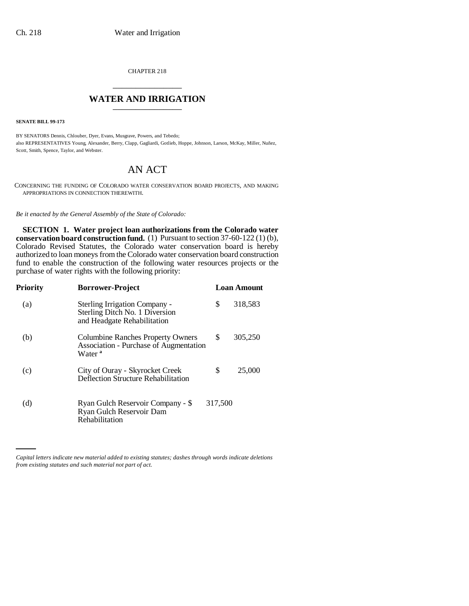CHAPTER 218 \_\_\_\_\_\_\_\_\_\_\_\_\_\_\_

# **WATER AND IRRIGATION**

**SENATE BILL 99-173** 

BY SENATORS Dennis, Chlouber, Dyer, Evans, Musgrave, Powers, and Tebedo; also REPRESENTATIVES Young, Alexander, Berry, Clapp, Gagliardi, Gotlieb, Hoppe, Johnson, Larson, McKay, Miller, Nuñez, Scott, Smith, Spence, Taylor, and Webster.

# AN ACT

CONCERNING THE FUNDING OF COLORADO WATER CONSERVATION BOARD PROJECTS, AND MAKING APPROPRIATIONS IN CONNECTION THEREWITH.

*Be it enacted by the General Assembly of the State of Colorado:*

**SECTION 1. Water project loan authorizations from the Colorado water conservation board construction fund.** (1) Pursuant to section 37-60-122 (1) (b), Colorado Revised Statutes, the Colorado water conservation board is hereby authorized to loan moneys from the Colorado water conservation board construction fund to enable the construction of the following water resources projects or the purchase of water rights with the following priority:

| Priority | <b>Borrower-Project</b>                                                                           |         | <b>Loan Amount</b> |
|----------|---------------------------------------------------------------------------------------------------|---------|--------------------|
| (a)      | Sterling Irrigation Company -<br>Sterling Ditch No. 1 Diversion<br>and Headgate Rehabilitation    | \$      | 318,583            |
| (b)      | Columbine Ranches Property Owners<br>Association - Purchase of Augmentation<br>Water <sup>a</sup> | \$      | 305,250            |
| (c)      | City of Ouray - Skyrocket Creek<br>Deflection Structure Rehabilitation                            | \$      | 25,000             |
| (d)      | Ryan Gulch Reservoir Company - \$<br>Ryan Gulch Reservoir Dam<br>Rehabilitation                   | 317,500 |                    |

*Capital letters indicate new material added to existing statutes; dashes through words indicate deletions from existing statutes and such material not part of act.*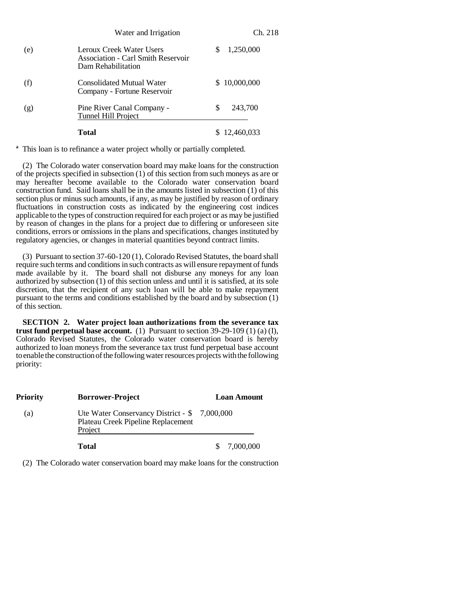|     | Water and Irrigation                                                                        |   | Ch. 218      |
|-----|---------------------------------------------------------------------------------------------|---|--------------|
| (e) | Leroux Creek Water Users<br><b>Association - Carl Smith Reservoir</b><br>Dam Rehabilitation | S | 1,250,000    |
| (f) | Consolidated Mutual Water<br>Company - Fortune Reservoir                                    |   | \$10,000,000 |
| (g) | Pine River Canal Company -<br>Tunnel Hill Project                                           | S | 243,700      |
|     | Total                                                                                       |   | 12,460,033   |

<sup>a</sup> This loan is to refinance a water project wholly or partially completed.

(2) The Colorado water conservation board may make loans for the construction of the projects specified in subsection (1) of this section from such moneys as are or may hereafter become available to the Colorado water conservation board construction fund. Said loans shall be in the amounts listed in subsection (1) of this section plus or minus such amounts, if any, as may be justified by reason of ordinary fluctuations in construction costs as indicated by the engineering cost indices applicable to the types of construction required for each project or as may be justified by reason of changes in the plans for a project due to differing or unforeseen site conditions, errors or omissions in the plans and specifications, changes instituted by regulatory agencies, or changes in material quantities beyond contract limits.

(3) Pursuant to section 37-60-120 (1), Colorado Revised Statutes, the board shall require such terms and conditions in such contracts as will ensure repayment of funds made available by it. The board shall not disburse any moneys for any loan authorized by subsection (1) of this section unless and until it is satisfied, at its sole discretion, that the recipient of any such loan will be able to make repayment pursuant to the terms and conditions established by the board and by subsection (1) of this section.

**SECTION 2. Water project loan authorizations from the severance tax trust fund perpetual base account.** (1) Pursuant to section 39-29-109 (1) (a) (I), Colorado Revised Statutes, the Colorado water conservation board is hereby authorized to loan moneys from the severance tax trust fund perpetual base account to enable the construction of the following water resources projects with the following priority:

| <b>Priority</b> | <b>Borrower-Project</b>                                                                        | <b>Loan Amount</b> |
|-----------------|------------------------------------------------------------------------------------------------|--------------------|
| (a)             | Ute Water Conservancy District - \$ 7,000,000<br>Plateau Creek Pipeline Replacement<br>Project |                    |
|                 | Total                                                                                          | 7,000,000          |

(2) The Colorado water conservation board may make loans for the construction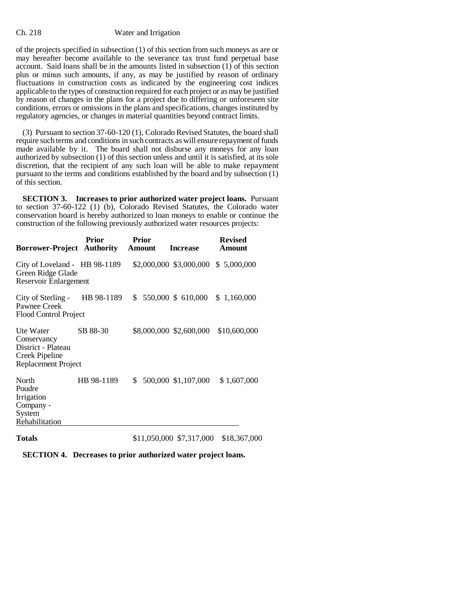## Ch. 218 Water and Irrigation

of the projects specified in subsection (1) of this section from such moneys as are or may hereafter become available to the severance tax trust fund perpetual base account. Said loans shall be in the amounts listed in subsection (1) of this section plus or minus such amounts, if any, as may be justified by reason of ordinary fluctuations in construction costs as indicated by the engineering cost indices applicable to the types of construction required for each project or as may be justified by reason of changes in the plans for a project due to differing or unforeseen site conditions, errors or omissions in the plans and specifications, changes instituted by regulatory agencies, or changes in material quantities beyond contract limits.

(3) Pursuant to section 37-60-120 (1), Colorado Revised Statutes, the board shall require such terms and conditions in such contracts as will ensure repayment of funds made available by it. The board shall not disburse any moneys for any loan authorized by subsection (1) of this section unless and until it is satisfied, at its sole discretion, that the recipient of any such loan will be able to make repayment pursuant to the terms and conditions established by the board and by subsection (1) of this section.

**SECTION 3. Increases to prior authorized water project loans.** Pursuant to section 37-60-122 (1) (b), Colorado Revised Statutes, the Colorado water conservation board is hereby authorized to loan moneys to enable or continue the construction of the following previously authorized water resources projects:

| <b>Borrower-Project Authority</b>                                                       | Prior      | Prior<br>Amount | <b>Increase</b>         | <b>Revised</b><br>Amount            |
|-----------------------------------------------------------------------------------------|------------|-----------------|-------------------------|-------------------------------------|
| City of Loveland - HB 98-1189<br>Green Ridge Glade<br>Reservoir Enlargement             |            |                 |                         | \$2,000,000 \$3,000,000 \$5,000,000 |
| City of Sterling -<br>Pawnee Creek<br>Flood Control Project                             | HB 98-1189 | \$              | 550,000 \$ 610,000      | \$1,160,000                         |
| Ute Water<br>Conservancy<br>District - Plateau<br>Creek Pipeline<br>Replacement Project | SB 88-30   |                 | \$8,000,000 \$2,600,000 | \$10,600,000                        |
| North<br>Poudre<br>Irrigation<br>Company -<br>System<br>Rehabilitation                  | HB 98-1189 | \$              | 500,000 \$1,107,000     | \$1,607,000                         |

**Totals** \$11,050,000 \$7,317,000 \$18,367,000

**SECTION 4. Decreases to prior authorized water project loans.**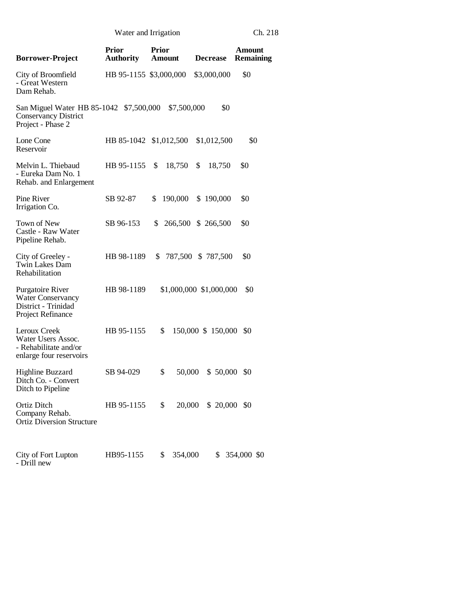Water and Irrigation Ch. 218

| <b>Borrower-Project</b>                                                                     | <b>Prior</b><br><b>Authority</b> | <b>Prior</b><br><b>Amount</b> | <b>Decrease</b>         | <b>Amount</b><br>Remaining |
|---------------------------------------------------------------------------------------------|----------------------------------|-------------------------------|-------------------------|----------------------------|
| City of Broomfield<br>- Great Western<br>Dam Rehab.                                         | HB 95-1155 \$3,000,000           |                               | \$3,000,000             | \$0                        |
| San Miguel Water HB 85-1042 \$7,500,000<br><b>Conservancy District</b><br>Project - Phase 2 |                                  | \$7,500,000                   | \$0                     |                            |
| Lone Cone<br>Reservoir                                                                      |                                  | HB 85-1042 \$1,012,500        | \$1,012,500             | \$0                        |
| Melvin L. Thiebaud<br>- Eureka Dam No. 1<br>Rehab. and Enlargement                          | HB 95-1155                       | \$<br>18,750                  | \$<br>18,750            | \$0                        |
| Pine River<br>Irrigation Co.                                                                | SB 92-87                         | 190,000<br>\$                 | \$190,000               | \$0                        |
| Town of New<br>Castle - Raw Water<br>Pipeline Rehab.                                        | SB 96-153                        | \$                            | 266,500 \$ 266,500      | \$0                        |
| City of Greeley -<br><b>Twin Lakes Dam</b><br>Rehabilitation                                | HB 98-1189                       | S.                            | 787,500 \$ 787,500      | \$0                        |
| Purgatoire River<br><b>Water Conservancy</b><br>District - Trinidad<br>Project Refinance    | HB 98-1189                       |                               | \$1,000,000 \$1,000,000 | \$0                        |
| Leroux Creek<br>Water Users Assoc.<br>- Rehabilitate and/or<br>enlarge four reservoirs      | HB 95-1155                       | \$                            | 150,000 \$ 150,000      | \$0                        |
| <b>Highline Buzzard</b><br>Ditch Co. - Convert<br>Ditch to Pipeline                         | SB 94-029                        | \$<br>50,000                  | \$50,000                | \$0                        |
| Ortiz Ditch<br>Company Rehab.<br><b>Ortiz Diversion Structure</b>                           | HB 95-1155                       | 20,000<br>\$                  | $$20,000$$ \$0          |                            |
| City of Fort Lupton<br>- Drill new                                                          | HB95-1155                        | \$<br>354,000                 | \$                      | 354,000 \$0                |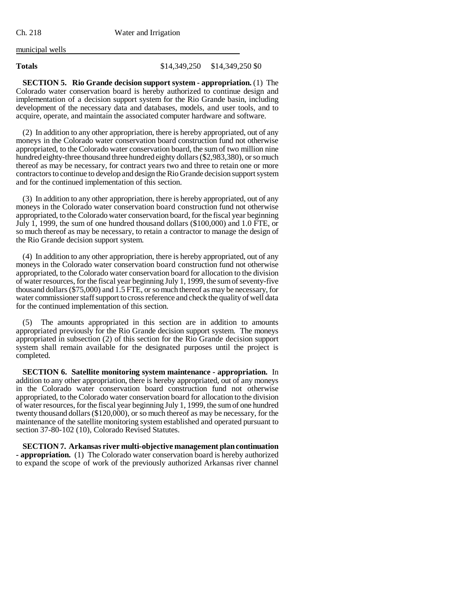municipal wells

### **Totals** \$14,349,250 \$14,349,250 \$0

**SECTION 5. Rio Grande decision support system - appropriation.** (1) The Colorado water conservation board is hereby authorized to continue design and implementation of a decision support system for the Rio Grande basin, including development of the necessary data and databases, models, and user tools, and to acquire, operate, and maintain the associated computer hardware and software.

(2) In addition to any other appropriation, there is hereby appropriated, out of any moneys in the Colorado water conservation board construction fund not otherwise appropriated, to the Colorado water conservation board, the sum of two million nine hundred eighty-three thousand three hundred eighty dollars (\$2,983,380), or so much thereof as may be necessary, for contract years two and three to retain one or more contractors to continue to develop and design the Rio Grande decision support system and for the continued implementation of this section.

(3) In addition to any other appropriation, there is hereby appropriated, out of any moneys in the Colorado water conservation board construction fund not otherwise appropriated, to the Colorado water conservation board, for the fiscal year beginning July 1, 1999, the sum of one hundred thousand dollars (\$100,000) and 1.0 FTE, or so much thereof as may be necessary, to retain a contractor to manage the design of the Rio Grande decision support system.

(4) In addition to any other appropriation, there is hereby appropriated, out of any moneys in the Colorado water conservation board construction fund not otherwise appropriated, to the Colorado water conservation board for allocation to the division of water resources, for the fiscal year beginning July 1, 1999, the sum of seventy-five thousand dollars (\$75,000) and 1.5 FTE, or so much thereof as may be necessary, for water commissioner staff support to cross reference and check the quality of well data for the continued implementation of this section.

(5) The amounts appropriated in this section are in addition to amounts appropriated previously for the Rio Grande decision support system. The moneys appropriated in subsection (2) of this section for the Rio Grande decision support system shall remain available for the designated purposes until the project is completed.

**SECTION 6. Satellite monitoring system maintenance - appropriation.** In addition to any other appropriation, there is hereby appropriated, out of any moneys in the Colorado water conservation board construction fund not otherwise appropriated, to the Colorado water conservation board for allocation to the division of water resources, for the fiscal year beginning July 1, 1999, the sum of one hundred twenty thousand dollars (\$120,000), or so much thereof as may be necessary, for the maintenance of the satellite monitoring system established and operated pursuant to section 37-80-102 (10), Colorado Revised Statutes.

**SECTION 7. Arkansas river multi-objective management plan continuation - appropriation.** (1) The Colorado water conservation board is hereby authorized to expand the scope of work of the previously authorized Arkansas river channel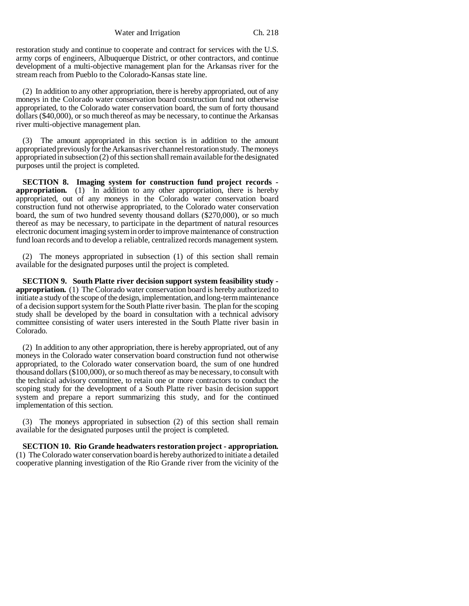Water and Irrigation Ch. 218

restoration study and continue to cooperate and contract for services with the U.S. army corps of engineers, Albuquerque District, or other contractors, and continue development of a multi-objective management plan for the Arkansas river for the stream reach from Pueblo to the Colorado-Kansas state line.

(2) In addition to any other appropriation, there is hereby appropriated, out of any moneys in the Colorado water conservation board construction fund not otherwise appropriated, to the Colorado water conservation board, the sum of forty thousand dollars (\$40,000), or so much thereof as may be necessary, to continue the Arkansas river multi-objective management plan.

(3) The amount appropriated in this section is in addition to the amount appropriated previously for the Arkansas river channel restoration study. The moneys appropriated in subsection (2) of this section shall remain available for the designated purposes until the project is completed.

**SECTION 8. Imaging system for construction fund project records appropriation.** (1) In addition to any other appropriation, there is hereby appropriated, out of any moneys in the Colorado water conservation board construction fund not otherwise appropriated, to the Colorado water conservation board, the sum of two hundred seventy thousand dollars (\$270,000), or so much thereof as may be necessary, to participate in the department of natural resources electronic document imaging system in order to improve maintenance of construction fund loan records and to develop a reliable, centralized records management system.

(2) The moneys appropriated in subsection (1) of this section shall remain available for the designated purposes until the project is completed.

**SECTION 9. South Platte river decision support system feasibility study appropriation.** (1) The Colorado water conservation board is hereby authorized to initiate a study of the scope of the design, implementation, and long-term maintenance of a decision support system for the South Platte river basin. The plan for the scoping study shall be developed by the board in consultation with a technical advisory committee consisting of water users interested in the South Platte river basin in Colorado.

(2) In addition to any other appropriation, there is hereby appropriated, out of any moneys in the Colorado water conservation board construction fund not otherwise appropriated, to the Colorado water conservation board, the sum of one hundred thousand dollars (\$100,000), or so much thereof as may be necessary, to consult with the technical advisory committee, to retain one or more contractors to conduct the scoping study for the development of a South Platte river basin decision support system and prepare a report summarizing this study, and for the continued implementation of this section.

(3) The moneys appropriated in subsection (2) of this section shall remain available for the designated purposes until the project is completed.

**SECTION 10. Rio Grande headwaters restoration project - appropriation.** (1) The Colorado water conservation board is hereby authorized to initiate a detailed cooperative planning investigation of the Rio Grande river from the vicinity of the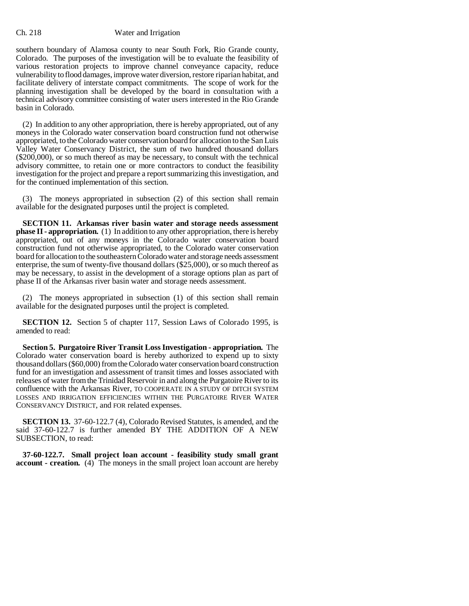#### Ch. 218 Water and Irrigation

southern boundary of Alamosa county to near South Fork, Rio Grande county, Colorado. The purposes of the investigation will be to evaluate the feasibility of various restoration projects to improve channel conveyance capacity, reduce vulnerability to flood damages, improve water diversion, restore riparian habitat, and facilitate delivery of interstate compact commitments. The scope of work for the planning investigation shall be developed by the board in consultation with a technical advisory committee consisting of water users interested in the Rio Grande basin in Colorado.

(2) In addition to any other appropriation, there is hereby appropriated, out of any moneys in the Colorado water conservation board construction fund not otherwise appropriated, to the Colorado water conservation board for allocation to the San Luis Valley Water Conservancy District, the sum of two hundred thousand dollars (\$200,000), or so much thereof as may be necessary, to consult with the technical advisory committee, to retain one or more contractors to conduct the feasibility investigation for the project and prepare a report summarizing this investigation, and for the continued implementation of this section.

(3) The moneys appropriated in subsection (2) of this section shall remain available for the designated purposes until the project is completed.

**SECTION 11. Arkansas river basin water and storage needs assessment phase II - appropriation.** (1) In addition to any other appropriation, there is hereby appropriated, out of any moneys in the Colorado water conservation board construction fund not otherwise appropriated, to the Colorado water conservation board for allocation to the southeastern Colorado water and storage needs assessment enterprise, the sum of twenty-five thousand dollars (\$25,000), or so much thereof as may be necessary, to assist in the development of a storage options plan as part of phase II of the Arkansas river basin water and storage needs assessment.

(2) The moneys appropriated in subsection (1) of this section shall remain available for the designated purposes until the project is completed.

**SECTION 12.** Section 5 of chapter 117, Session Laws of Colorado 1995, is amended to read:

**Section 5. Purgatoire River Transit Loss Investigation - appropriation.** The Colorado water conservation board is hereby authorized to expend up to sixty thousand dollars (\$60,000) from the Colorado water conservation board construction fund for an investigation and assessment of transit times and losses associated with releases of water from the Trinidad Reservoir in and along the Purgatoire River to its confluence with the Arkansas River, TO COOPERATE IN A STUDY OF DITCH SYSTEM LOSSES AND IRRIGATION EFFICIENCIES WITHIN THE PURGATOIRE RIVER WATER CONSERVANCY DISTRICT, and FOR related expenses.

**SECTION 13.** 37-60-122.7 (4), Colorado Revised Statutes, is amended, and the said 37-60-122.7 is further amended BY THE ADDITION OF A NEW SUBSECTION, to read:

**37-60-122.7. Small project loan account - feasibility study small grant account - creation.** (4) The moneys in the small project loan account are hereby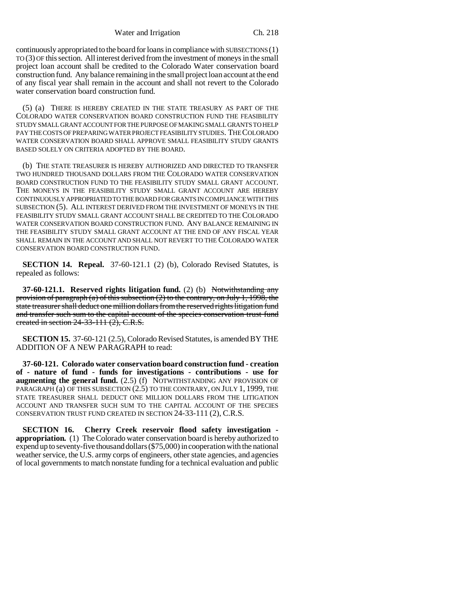Water and Irrigation Ch. 218

continuously appropriated to the board for loans in compliance with SUBSECTIONS (1) TO (3) OF this section. All interest derived from the investment of moneys in the small project loan account shall be credited to the Colorado Water conservation board construction fund. Any balance remaining in the small project loan account at the end of any fiscal year shall remain in the account and shall not revert to the Colorado water conservation board construction fund.

(5) (a) THERE IS HEREBY CREATED IN THE STATE TREASURY AS PART OF THE COLORADO WATER CONSERVATION BOARD CONSTRUCTION FUND THE FEASIBILITY STUDY SMALL GRANT ACCOUNT FOR THE PURPOSE OF MAKING SMALL GRANTS TO HELP PAY THE COSTS OF PREPARING WATER PROJECT FEASIBILITY STUDIES. THE COLORADO WATER CONSERVATION BOARD SHALL APPROVE SMALL FEASIBILITY STUDY GRANTS BASED SOLELY ON CRITERIA ADOPTED BY THE BOARD.

(b) THE STATE TREASURER IS HEREBY AUTHORIZED AND DIRECTED TO TRANSFER TWO HUNDRED THOUSAND DOLLARS FROM THE COLORADO WATER CONSERVATION BOARD CONSTRUCTION FUND TO THE FEASIBILITY STUDY SMALL GRANT ACCOUNT. THE MONEYS IN THE FEASIBILITY STUDY SMALL GRANT ACCOUNT ARE HEREBY CONTINUOUSLY APPROPRIATED TO THE BOARD FOR GRANTS IN COMPLIANCE WITH THIS SUBSECTION (5). ALL INTEREST DERIVED FROM THE INVESTMENT OF MONEYS IN THE FEASIBILITY STUDY SMALL GRANT ACCOUNT SHALL BE CREDITED TO THE COLORADO WATER CONSERVATION BOARD CONSTRUCTION FUND. ANY BALANCE REMAINING IN THE FEASIBILITY STUDY SMALL GRANT ACCOUNT AT THE END OF ANY FISCAL YEAR SHALL REMAIN IN THE ACCOUNT AND SHALL NOT REVERT TO THE COLORADO WATER CONSERVATION BOARD CONSTRUCTION FUND.

**SECTION 14. Repeal.** 37-60-121.1 (2) (b), Colorado Revised Statutes, is repealed as follows:

**37-60-121.1. Reserved rights litigation fund.** (2) (b) Notwithstanding any provision of paragraph (a) of this subsection (2) to the contrary, on July 1, 1998, the state treasurer shall deduct one million dollars from the reserved rights litigation fund and transfer such sum to the capital account of the species conservation trust fund created in section 24-33-111 (2), C.R.S.

**SECTION 15.** 37-60-121 (2.5), Colorado Revised Statutes, is amended BY THE ADDITION OF A NEW PARAGRAPH to read:

**37-60-121. Colorado water conservation board construction fund - creation of - nature of fund - funds for investigations - contributions - use for augmenting the general fund.** (2.5) (f) NOTWITHSTANDING ANY PROVISION OF PARAGRAPH (a) OF THIS SUBSECTION (2.5) TO THE CONTRARY, ON JULY 1, 1999, THE STATE TREASURER SHALL DEDUCT ONE MILLION DOLLARS FROM THE LITIGATION ACCOUNT AND TRANSFER SUCH SUM TO THE CAPITAL ACCOUNT OF THE SPECIES CONSERVATION TRUST FUND CREATED IN SECTION 24-33-111 (2), C.R.S.

**SECTION 16. Cherry Creek reservoir flood safety investigation appropriation.** (1) The Colorado water conservation board is hereby authorized to expend up to seventy-five thousand dollars (\$75,000) in cooperation with the national weather service, the U.S. army corps of engineers, other state agencies, and agencies of local governments to match nonstate funding for a technical evaluation and public